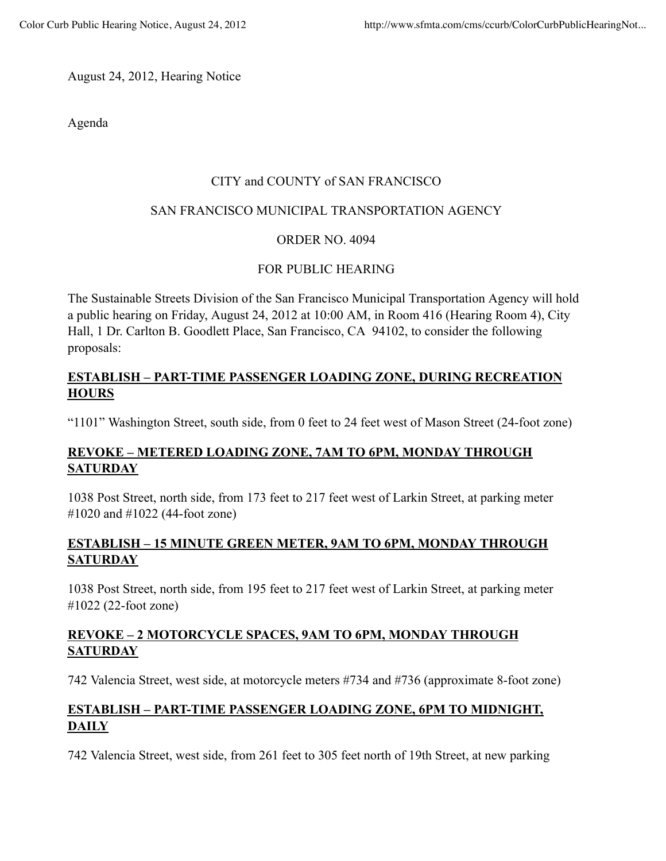August 24, 2012, Hearing Notice

Agenda

#### CITY and COUNTY of SAN FRANCISCO

#### SAN FRANCISCO MUNICIPAL TRANSPORTATION AGENCY

### ORDER NO. 4094

### FOR PUBLIC HEARING

The Sustainable Streets Division of the San Francisco Municipal Transportation Agency will hold a public hearing on Friday, August 24, 2012 at 10:00 AM, in Room 416 (Hearing Room 4), City Hall, 1 Dr. Carlton B. Goodlett Place, San Francisco, CA 94102, to consider the following proposals:

### **ESTABLISH – PART-TIME PASSENGER LOADING ZONE, DURING RECREATION HOURS**

"1101" Washington Street, south side, from 0 feet to 24 feet west of Mason Street (24-foot zone)

# **REVOKE – METERED LOADING ZONE, 7AM TO 6PM, MONDAY THROUGH SATURDAY**

1038 Post Street, north side, from 173 feet to 217 feet west of Larkin Street, at parking meter #1020 and #1022 (44-foot zone)

### **ESTABLISH – 15 MINUTE GREEN METER, 9AM TO 6PM, MONDAY THROUGH SATURDAY**

1038 Post Street, north side, from 195 feet to 217 feet west of Larkin Street, at parking meter #1022 (22-foot zone)

## **REVOKE – 2 MOTORCYCLE SPACES, 9AM TO 6PM, MONDAY THROUGH SATURDAY**

742 Valencia Street, west side, at motorcycle meters #734 and #736 (approximate 8-foot zone)

# **ESTABLISH – PART-TIME PASSENGER LOADING ZONE, 6PM TO MIDNIGHT, DAILY**

742 Valencia Street, west side, from 261 feet to 305 feet north of 19th Street, at new parking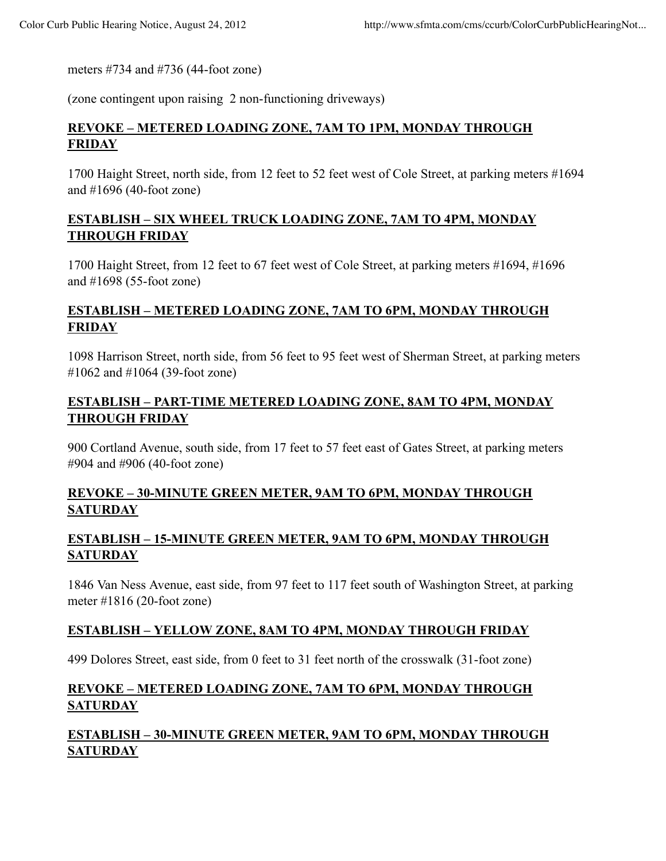meters #734 and #736 (44-foot zone)

(zone contingent upon raising 2 non-functioning driveways)

#### **REVOKE – METERED LOADING ZONE, 7AM TO 1PM, MONDAY THROUGH FRIDAY**

1700 Haight Street, north side, from 12 feet to 52 feet west of Cole Street, at parking meters #1694 and #1696 (40-foot zone)

### **ESTABLISH – SIX WHEEL TRUCK LOADING ZONE, 7AM TO 4PM, MONDAY THROUGH FRIDAY**

1700 Haight Street, from 12 feet to 67 feet west of Cole Street, at parking meters #1694, #1696 and #1698 (55-foot zone)

### **ESTABLISH – METERED LOADING ZONE, 7AM TO 6PM, MONDAY THROUGH FRIDAY**

1098 Harrison Street, north side, from 56 feet to 95 feet west of Sherman Street, at parking meters #1062 and #1064 (39-foot zone)

### **ESTABLISH – PART-TIME METERED LOADING ZONE, 8AM TO 4PM, MONDAY THROUGH FRIDAY**

900 Cortland Avenue, south side, from 17 feet to 57 feet east of Gates Street, at parking meters #904 and #906 (40-foot zone)

### **REVOKE – 30-MINUTE GREEN METER, 9AM TO 6PM, MONDAY THROUGH SATURDAY**

### **ESTABLISH – 15-MINUTE GREEN METER, 9AM TO 6PM, MONDAY THROUGH SATURDAY**

1846 Van Ness Avenue, east side, from 97 feet to 117 feet south of Washington Street, at parking meter #1816 (20-foot zone)

#### **ESTABLISH – YELLOW ZONE, 8AM TO 4PM, MONDAY THROUGH FRIDAY**

499 Dolores Street, east side, from 0 feet to 31 feet north of the crosswalk (31-foot zone)

### **REVOKE – METERED LOADING ZONE, 7AM TO 6PM, MONDAY THROUGH SATURDAY**

## **ESTABLISH – 30-MINUTE GREEN METER, 9AM TO 6PM, MONDAY THROUGH SATURDAY**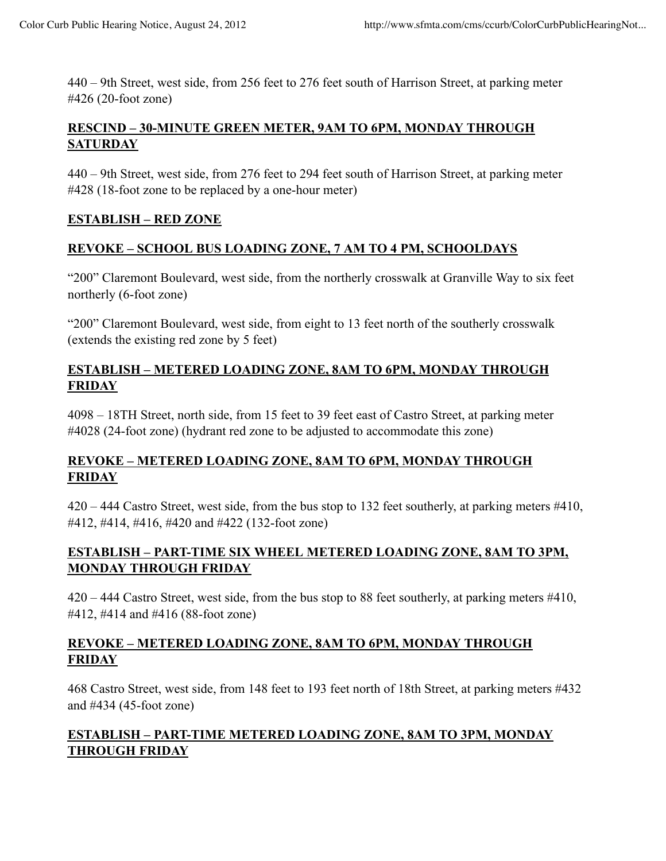440 – 9th Street, west side, from 256 feet to 276 feet south of Harrison Street, at parking meter #426 (20-foot zone)

### **RESCIND – 30-MINUTE GREEN METER, 9AM TO 6PM, MONDAY THROUGH SATURDAY**

440 – 9th Street, west side, from 276 feet to 294 feet south of Harrison Street, at parking meter #428 (18-foot zone to be replaced by a one-hour meter)

### **ESTABLISH – RED ZONE**

### **REVOKE – SCHOOL BUS LOADING ZONE, 7 AM TO 4 PM, SCHOOLDAYS**

"200" Claremont Boulevard, west side, from the northerly crosswalk at Granville Way to six feet northerly (6-foot zone)

"200" Claremont Boulevard, west side, from eight to 13 feet north of the southerly crosswalk (extends the existing red zone by 5 feet)

#### **ESTABLISH – METERED LOADING ZONE, 8AM TO 6PM, MONDAY THROUGH FRIDAY**

4098 – 18TH Street, north side, from 15 feet to 39 feet east of Castro Street, at parking meter #4028 (24-foot zone) (hydrant red zone to be adjusted to accommodate this zone)

## **REVOKE – METERED LOADING ZONE, 8AM TO 6PM, MONDAY THROUGH FRIDAY**

420 – 444 Castro Street, west side, from the bus stop to 132 feet southerly, at parking meters #410, #412, #414, #416, #420 and #422 (132-foot zone)

### **ESTABLISH – PART-TIME SIX WHEEL METERED LOADING ZONE, 8AM TO 3PM, MONDAY THROUGH FRIDAY**

420 – 444 Castro Street, west side, from the bus stop to 88 feet southerly, at parking meters #410, #412, #414 and #416 (88-foot zone)

### **REVOKE – METERED LOADING ZONE, 8AM TO 6PM, MONDAY THROUGH FRIDAY**

468 Castro Street, west side, from 148 feet to 193 feet north of 18th Street, at parking meters #432 and #434 (45-foot zone)

## **ESTABLISH – PART-TIME METERED LOADING ZONE, 8AM TO 3PM, MONDAY THROUGH FRIDAY**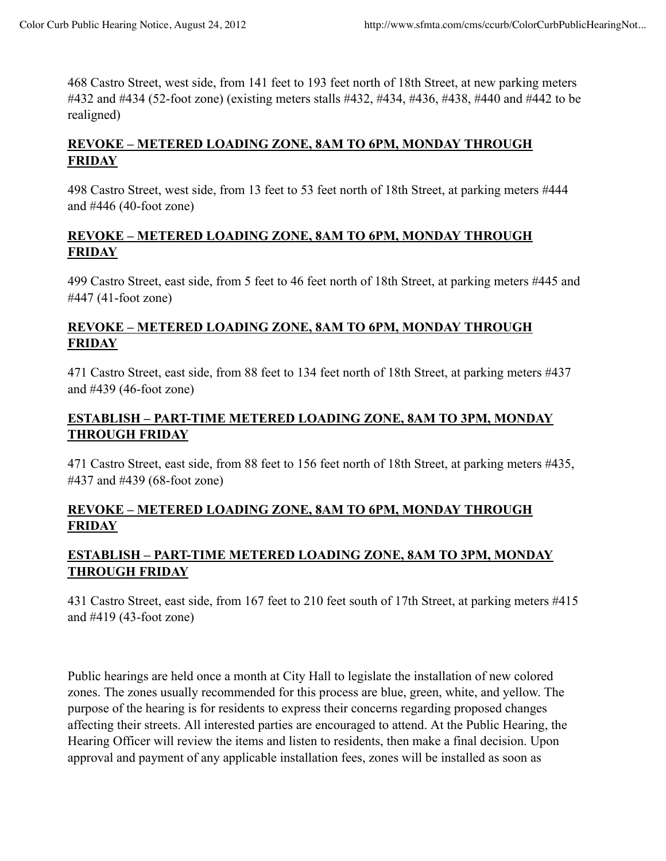468 Castro Street, west side, from 141 feet to 193 feet north of 18th Street, at new parking meters #432 and #434 (52-foot zone) (existing meters stalls #432, #434, #436, #438, #440 and #442 to be realigned)

# **REVOKE – METERED LOADING ZONE, 8AM TO 6PM, MONDAY THROUGH FRIDAY**

498 Castro Street, west side, from 13 feet to 53 feet north of 18th Street, at parking meters #444 and #446 (40-foot zone)

#### **REVOKE – METERED LOADING ZONE, 8AM TO 6PM, MONDAY THROUGH FRIDAY**

499 Castro Street, east side, from 5 feet to 46 feet north of 18th Street, at parking meters #445 and #447 (41-foot zone)

### **REVOKE – METERED LOADING ZONE, 8AM TO 6PM, MONDAY THROUGH FRIDAY**

471 Castro Street, east side, from 88 feet to 134 feet north of 18th Street, at parking meters #437 and #439 (46-foot zone)

# **ESTABLISH – PART-TIME METERED LOADING ZONE, 8AM TO 3PM, MONDAY THROUGH FRIDAY**

471 Castro Street, east side, from 88 feet to 156 feet north of 18th Street, at parking meters #435, #437 and #439 (68-foot zone)

## **REVOKE – METERED LOADING ZONE, 8AM TO 6PM, MONDAY THROUGH FRIDAY**

## **ESTABLISH – PART-TIME METERED LOADING ZONE, 8AM TO 3PM, MONDAY THROUGH FRIDAY**

431 Castro Street, east side, from 167 feet to 210 feet south of 17th Street, at parking meters #415 and #419 (43-foot zone)

Public hearings are held once a month at City Hall to legislate the installation of new colored zones. The zones usually recommended for this process are blue, green, white, and yellow. The purpose of the hearing is for residents to express their concerns regarding proposed changes affecting their streets. All interested parties are encouraged to attend. At the Public Hearing, the Hearing Officer will review the items and listen to residents, then make a final decision. Upon approval and payment of any applicable installation fees, zones will be installed as soon as